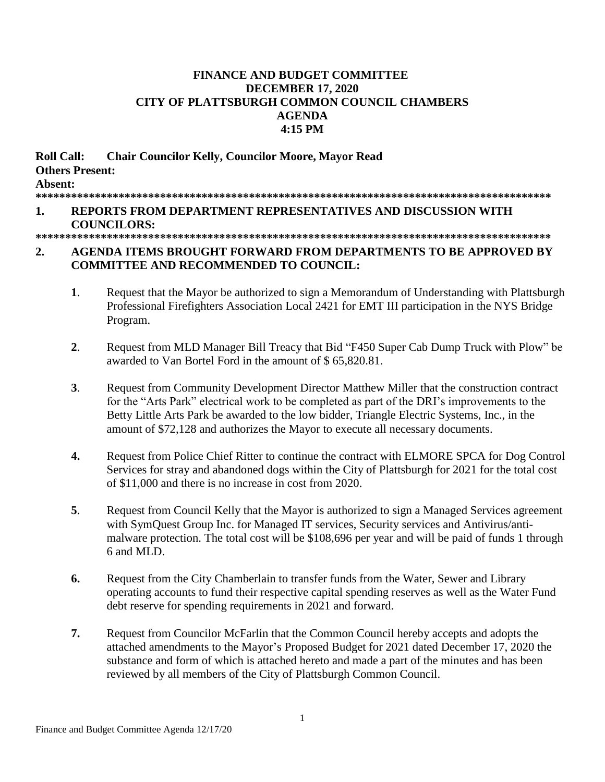## **FINANCE AND BUDGET COMMITTEE DECEMBER 17, 2020** CITY OF PLATTSBURGH COMMON COUNCIL CHAMBERS **AGENDA** 4:15 PM

**Roll Call: Chair Councilor Kelly, Councilor Moore, Mayor Read Others Present:** Absent:  $\mathbf{1}$ . REPORTS FROM DEPARTMENT REPRESENTATIVES AND DISCUSSION WITH **COUNCILORS:** 

## $2.$ AGENDA ITEMS BROUGHT FORWARD FROM DEPARTMENTS TO BE APPROVED BY **COMMITTEE AND RECOMMENDED TO COUNCIL:**

- $1<sup>1</sup>$ Request that the Mayor be authorized to sign a Memorandum of Understanding with Plattsburgh Professional Firefighters Association Local 2421 for EMT III participation in the NYS Bridge Program.
- $2<sub>1</sub>$ Request from MLD Manager Bill Treacy that Bid "F450 Super Cab Dump Truck with Plow" be awarded to Van Bortel Ford in the amount of \$65,820.81.
- $\mathbf{3}$ . Request from Community Development Director Matthew Miller that the construction contract for the "Arts Park" electrical work to be completed as part of the DRI's improvements to the Betty Little Arts Park be awarded to the low bidder, Triangle Electric Systems, Inc., in the amount of \$72,128 and authorizes the Mayor to execute all necessary documents.
- $\overline{4}$ . Request from Police Chief Ritter to continue the contract with ELMORE SPCA for Dog Control Services for stray and abandoned dogs within the City of Plattsburgh for 2021 for the total cost of \$11,000 and there is no increase in cost from 2020.
- 5. Request from Council Kelly that the Mayor is authorized to sign a Managed Services agreement with SymQuest Group Inc. for Managed IT services, Security services and Antivirus/antimalware protection. The total cost will be \$108,696 per year and will be paid of funds 1 through 6 and MLD.
- 6. Request from the City Chamberlain to transfer funds from the Water, Sewer and Library operating accounts to fund their respective capital spending reserves as well as the Water Fund debt reserve for spending requirements in 2021 and forward.
- 7. Request from Councilor McFarlin that the Common Council hereby accepts and adopts the attached amendments to the Mayor's Proposed Budget for 2021 dated December 17, 2020 the substance and form of which is attached hereto and made a part of the minutes and has been reviewed by all members of the City of Plattsburgh Common Council.